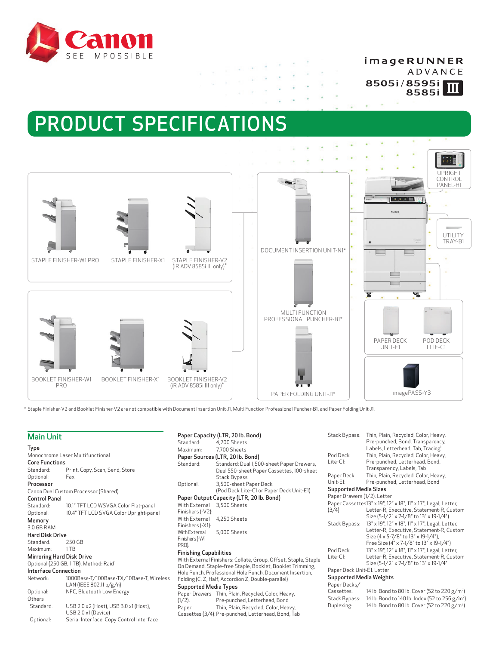

## imageRUNNER

ADVANCE 8505i/8595i  $\overline{\mathbf{m}}$ 8585i

# PRODUCT SPECIFICATIONS



 $\sim$ 

\* Staple Finisher-V2 and Booklet Finisher-V2 are not compatible with Document Insertion Unit-J1, Multi Function Professional Puncher-B1, and Paper Folding Unit-J1.

## Main Unit

|                                       |                                          | ətanuaru.                              | →,           |
|---------------------------------------|------------------------------------------|----------------------------------------|--------------|
| <b>Type</b>                           |                                          | Maximum:                               | 7.           |
| Monochrome Laser Multifunctional      |                                          | Paper Sources (L                       |              |
| <b>Core Functions</b>                 |                                          | Standard:                              | S            |
| Standard:                             | Print, Copy, Scan, Send, Store           |                                        | D            |
| Optional:                             | Fax                                      |                                        | S            |
| Processor                             |                                          | Optional:                              | 3,           |
|                                       | Canon Dual Custom Processor (Shared)     |                                        | (F           |
| <b>Control Panel</b>                  |                                          | Paper Output Ca                        |              |
| Standard:                             | 10.1" TFT LCD WSVGA Color Flat-panel     | With External                          | 3,           |
| Optional:                             | 10.4" TFT LCD SVGA Color Upright-panel   | Finishers (-V2):                       |              |
| Memory                                |                                          | With External                          | 4.           |
| 3.0 GB RAM                            |                                          | Finishers (-X1):                       |              |
| <b>Hard Disk Drive</b>                |                                          | With External                          | 5.           |
| Standard:                             | 250 GB                                   | Finishers (-W1<br>PRO):                |              |
| Maximum:                              | 1TB                                      |                                        |              |
|                                       | <b>Mirroring Hard Disk Drive</b>         | <b>Finishing Capabil</b>               |              |
| Optional (250 GB, 1TB), Method: Raid1 |                                          | With External Fini<br>On Demand, Stapl |              |
| <b>Interface Connection</b>           |                                          | Hole Punch, Profe:                     |              |
| Network:                              | 1000Base-T/100Base-TX/10Base-T, Wireless | Folding (C, Z, Half,                   |              |
|                                       | LAN (IEEE 802.11 b/g/n)                  | Supported Media                        |              |
| Optional:                             | NFC, Bluetooth Low Energy                | Paper Drawers                          | $\mathsf{T}$ |
| Others                                |                                          | $(1/2)$ :                              | P            |
| Standard:                             | USB 2.0 x2 (Host), USB 3.0 x1 (Host),    | Paper                                  | Т            |
|                                       | USB 2.0 x1 (Device)                      | Cassettes (3/4): P                     |              |
| Optional:                             | Serial Interface, Copy Control Interface |                                        |              |
|                                       |                                          |                                        |              |

|                               | Paper Capacity (LTR, 20 lb. Bond)                                                                              | Stack By   |
|-------------------------------|----------------------------------------------------------------------------------------------------------------|------------|
| Standard:                     | 4,200 Sheets                                                                                                   |            |
| Maximum:                      | 7,700 Sheets                                                                                                   |            |
|                               | Paper Sources (LTR, 20 lb. Bond)                                                                               | Pod Deck   |
| Standard:                     | Standard: Dual 1,500-sheet Paper Drawers,                                                                      | $Life-Cl:$ |
|                               | Dual 550-sheet Paper Cassettes, 100-sheet                                                                      |            |
|                               | Stack Bypass                                                                                                   | Paper De   |
| Optional:                     | 3,500-sheet Paper Deck                                                                                         | $Unit-E1:$ |
|                               | (Pod Deck Lite-C1 or Paper Deck Unit-E1)                                                                       | Support    |
|                               | Paper Output Capacity (LTR, 20 lb. Bond)                                                                       | Paper Dra  |
| With External                 | 3.500 Sheets                                                                                                   | Paper Ca:  |
| Finishers (-V2):              |                                                                                                                | $(3/4)$ :  |
| With External                 | 4,250 Sheets                                                                                                   |            |
| Finishers (-X1):              |                                                                                                                | Stack By   |
| <b>With External</b>          | 5,000 Sheets                                                                                                   |            |
| Finishers (-W1                |                                                                                                                |            |
| PRO):                         |                                                                                                                | Pod Deck   |
| <b>Finishing Capabilities</b> |                                                                                                                | Lite-C1:   |
|                               | With External Finishers: Collate, Group, Offset, Staple, Staple                                                |            |
|                               | On Demand, Staple-free Staple, Booklet, Booklet Trimming,                                                      | Paper De   |
|                               | Hole Punch, Professional Hole Punch, Document Insertion,<br>Folding (C, Z, Half, Accordion Z, Double-parallel) | Support    |
| Supported Media Types         |                                                                                                                | Paper De   |
|                               |                                                                                                                | Cassette   |
| (1/7).                        | Paper Drawers Thin, Plain, Recycled, Color, Heavy,<br>Pre-nunched Letterhead Bond                              | Stack Byp  |

| aper Drawers Thin, Plain, Recycled, Color, Heavy,   |
|-----------------------------------------------------|
| Pre-punched, Letterhead, Bond                       |
| Thin, Plain, Recycled, Color, Heavy,                |
| Cassettes (3/4): Pre-punched, Letterhead, Bond, Tab |
|                                                     |

| Stack Bypass:               | Thin, Plain, Recycled, Color, Heavy,<br>Pre-punched, Bond, Transparency,<br>Labels, Letterhead, Tab, Tracing <sup>1</sup>                                                      |
|-----------------------------|--------------------------------------------------------------------------------------------------------------------------------------------------------------------------------|
| Pod Deck                    | Thin, Plain, Recycled, Color, Heavy,                                                                                                                                           |
| Lite-C1:                    | Pre-punched, Letterhead, Bond,<br>Transparency, Labels, Tab                                                                                                                    |
| Paper Deck                  | Thin, Plain, Recycled, Color, Heavy,                                                                                                                                           |
| Unit-E1:                    | Pre-punched, Letterhead, Bond                                                                                                                                                  |
| Supported Media Sizes       |                                                                                                                                                                                |
| Paper Drawers (1/2): Letter |                                                                                                                                                                                |
|                             | Paper Cassettes13" x 19", 12" x 18", 11" x 17", Legal, Letter,                                                                                                                 |
| $(3/4)$ :                   | Letter-R, Executive, Statement-R, Custom<br>Size (5-1/2" x 7-1/8" to 13" x 19-1/4")                                                                                            |
| Stack Bypass:               | 13" x 19", 12" x 18", 11" x 17", Legal, Letter,<br>Letter-R, Executive, Statement-R, Custom<br>Size (4 x 5-7/8" to 13" x 19-1/4"),<br>Free Size (4" x 7-1/8" to 13" x 19-1/4") |
| Pod Deck                    | 13" x 19", 12" x 18", 11" x 17", Legal, Letter,                                                                                                                                |
| Lite-C1:                    | Letter-R, Executive, Statement-R, Custom<br>Size (5-1/2" x 7-1/8" to 13" x 19-1/4"                                                                                             |
| Paper Deck Unit-E1: Letter  |                                                                                                                                                                                |

## ed Media Weights

| Paper Decks/ |
|--------------|

| rapei Decks/  |                                                            |
|---------------|------------------------------------------------------------|
| Cassettes:    | 14 lb. Bond to 80 lb. Cover (52 to 220 g/m <sup>2</sup> )  |
| Stack Bypass: | 14 lb. Bond to 140 lb. Index (52 to 256 g/m <sup>2</sup> ) |
| Duplexing:    | 14 lb. Bond to 80 lb. Cover (52 to 220 g/m <sup>2</sup> )  |
|               |                                                            |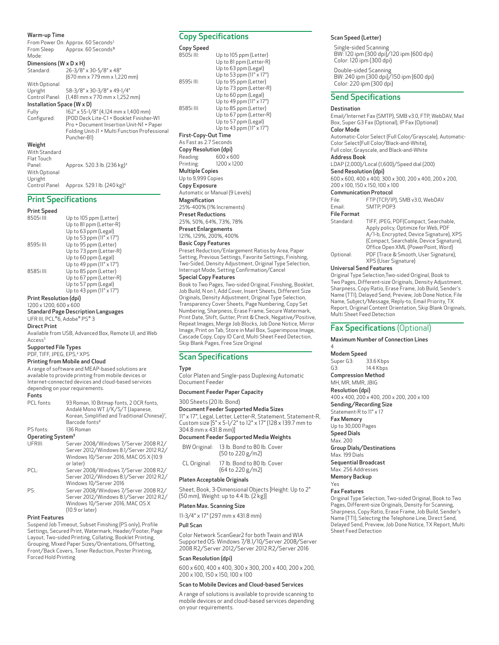### Warm-up Time

From Power On: Approx. 60 Seconds<sup>2</sup> From Sleep Mode: Approx. 60 Seconds<sup>3</sup>

## Dimensions (W x D x H)<br>Standard: 26-3/8"

26-3/8" x 30-5/8" x 48" (670 mm x 779 mm x 1,220 mm) With Optional

Control Panel: 58-3/8" x 30-3/8" x 49-1/4"  $(1,481 \text{ mm} \times 770 \text{ mm} \times 1,252 \text{ mm})$ Installation Space (W x D)

Upright

| Fully         | 162" x 55-1/8" (4,124 mm x 1,400 mm)                         |
|---------------|--------------------------------------------------------------|
| Configured:   | (POD Deck Lite-C1 + Booklet Finisher-W1                      |
|               | Pro + Document Insertion Unit-N1 + Paper                     |
|               | Folding Unit-J1 + Multi Function Professional<br>Puncher-B1) |
| Weight        |                                                              |
| With Standard |                                                              |
| Flat Touch    |                                                              |
| Panel:        | Approx. 520.3 lb. (236 kg) <sup>4</sup>                      |
| With Optional |                                                              |
| Unright       |                                                              |

Control Panel: Approx. 529.1 lb. (240 kg)4

## Print Specifications

### Print Speed

| Up to 105 ppm (Letter)   |
|--------------------------|
| Up to 81 ppm (Letter-R)  |
| Up to 63 ppm (Legal)     |
| Up to 53 ppm (11" x 17") |
| Up to 95 ppm (Letter)    |
| Up to 73 ppm (Letter-R)  |
| Up to 60 ppm (Legal)     |
| Up to 49 ppm (11" x 17") |
| Up to 85 ppm (Letter)    |
| Up to 67 ppm (Letter-R)  |
| Up to 57 ppm (Legal)     |
| Up to 43 ppm (11" x 17") |
|                          |

Print Resolution (dpi)

#### 1200 x 1200, 600 x 600 Standard Page Description Languages

## UFR III, PCL®6, Adobe® PS® 3

#### Direct Print

Available from USB, Advanced Box, Remote UI, and Web Access<sup>5</sup>

#### Supported File Types

PDF, TIFF, JPEG, EPS,<sup>6</sup> XPS

## Printing from Mobile and Cloud

A range of software and MEAP-based solutions are available to provide printing from mobile devices or Internet-connected devices and cloud-based services depending on your requirements.

## Fonts<br>PCL fonts:

PCL fonts: 93 Roman, 10 Bitmap fonts, 2 OCR fonts, Andalé Mono WT J/K/S/T (Japanese, Korean, Simplified and Traditional Chinese)<sup>7</sup>, Barcode fonts8 PS fonts: 136 Roman

#### Operating System9

| UFRIII: | Server 2008/Windows 7/Server 2008 R2/   |
|---------|-----------------------------------------|
|         | Server 2012/Windows 8.1/Server 2012 R2/ |
|         | Windows 10/Server 2016, MAC OS X (10.9  |
|         | or later)                               |
| PCL:    | Server 2008/Windows 7/Server 2008 R2/   |
|         | Server 2012/Windows 8.1/Server 2012 R2/ |
|         | Windows 10/Server 2016                  |
| PS:     | Server 2008/Windows 7/Server 2008 R2/   |
|         | Server 2012/Windows 81/Server 2012 R2/  |

Server 2012/Windows 8.1/Server 2012 R2/ Windows 10/Server 2016, MAC OS X (10.9 or later)

## Print Features

Suspend Job Timeout, Subset Finishing (PS only), Profile Settings, Secured Print, Watermark, Header/Footer, Page Layout, Two-sided Printing, Collating, Booklet Printing, Grouping, Mixed Paper Sizes/Orientations, Offsetting, Front/Back Covers, Toner Reduction, Poster Printing, Forced Hold Printing

## Copy Specifications

#### Copy Speed

8505i III: Up to 105 ppm (Letter) Up to 81 ppm (Letter-R) Up to 63 ppm (Legal) Up to 53 ppm (11" x 17") 8595i III: Up to 95 ppm (Letter) Up to 73 ppm (Letter-R) Up to 60 ppm (Legal) Up to  $49$  ppm ( $11" \times 17"$ ) 8585i III: Up to 85 ppm (Letter) Up to 67 ppm (Letter-R) Up to 57 ppm (Legal) Up to 43 ppm (11" x 17") First-Copy-Out Time As Fast as 2.7 Seconds Copy Resolution (dpi)<br>Reading: 600 x 6 Reading: 600 x 600<br>Printing: 1200 x 120 Printing: 1200 x 1200 Multiple Copies Up to 9,999 Copies Copy Exposure Automatic or Manual (9 Levels) Magnification 25%-400% (1% Increments) Preset Reductions 25%, 50%, 64%, 73%, 78% Preset Enlargements

#### 121%, 129%, 200%, 400%

#### Basic Copy Features

Preset Reduction/Enlargement Ratios by Area, Paper Setting, Previous Settings, Favorite Settings, Finishing, Two-Sided, Density Adjustment, Original Type Selection, Interrupt Mode, Setting Confirmation/Cancel

### Special Copy Features

Book to Two Pages, Two-sided Original, Finishing, Booklet, Job Build, N on 1, Add Cover, Insert Sheets, Different Size Originals, Density Adjustment, Original Type Selection, Transparency Cover Sheets, Page Numbering, Copy Set Numbering, Sharpness, Erase Frame, Secure Watermark, Print Date, Shift, Gutter, Print & Check, Negative/Positive, Repeat Images, Merge Job Blocks, Job Done Notice, Mirror Image, Print on Tab, Store in Mail Box, Superimpose Image, Cascade Copy, Copy ID Card, Multi Sheet Feed Detection, Skip Blank Pages, Free Size Original

## Scan Specifications

#### **Type**

Color Platen and Single-pass Duplexing Automatic Document Feeder

#### Document Feeder Paper Capacity

#### 300 Sheets (20 lb. Bond)

Document Feeder Supported Media Sizes 11" x 17", Legal, Letter, Letter-R, Statement, Statement-R, Custom size [5" x 5-1/2" to 12" x 17" (128 x 139.7 mm to 304.8 mm x 431.8 mm)]

#### Document Feeder Supported Media Weights

| BW Original: | 13 lb. Bond to 80 lb. Cover<br>(50 to 220 g/m2) |
|--------------|-------------------------------------------------|
| CL Original: | 17 lb. Bond to 80 lb. Cover<br>(64 to 220 g/m2) |

## Platen Acceptable Originals

Sheet, Book, 3-Dimensional Objects [Height: Up to 2" (50 mm), Weight: up to 4.4 lb.  $(2 \text{ kg})$ ]

#### Platen Max. Scanning Size

11-3/4" x 17" (297 mm x 431.8 mm)

#### Pull Scan

Color Network ScanGear2 for both Twain and WIA Supported OS: Windows 7/8.1/10/Server 2008/Server 2008 R2/Server 2012/Server 2012 R2/Server 2016

#### Scan Resolution (dpi)

600 x 600, 400 x 400, 300 x 300, 200 x 400, 200 x 200, 200 x 100, 150 x 150, 100 x 100

#### Scan to Mobile Devices and Cloud-based Services

A range of solutions is available to provide scanning to mobile devices or and cloud-based services depending on your requirements.

#### Scan Speed (Letter)

Single-sided Scanning BW: 120 ipm (300 dpi)/120 ipm (600 dpi) Color: 120 ipm (300 dpi)

Double-sided Scanning BW: 240 ipm (300 dpi)/150 ipm (600 dpi) Color: 220 ipm (300 dpi)

## Send Specifications

#### **Destination**

Email/Internet Fax (SMTP), SMB v3.0, FTP, WebDAV, Mail Box, Super G3 Fax (Optional), IP Fax (Optional) Color Mode

Automatic-Color Select (Full Color/Grayscale), Automatic-Color Select(Full Color/Black-and-White),

Full color, Grayscale, and Black-and-White

## Address Book

LDAP (2,000)/Local (1,600)/Speed dial (200) Send Resolution (dpi)

600 x 600, 400 x 400, 300 x 300, 200 x 400, 200 x 200, 200 x 100, 150 x 150, 100 x 100

#### Communication Protocol

File: FTP (TCP/IP), SMB v3.0, WebDAV<br>Email: SMTP, POP3 SMTP, POP3

#### File Format

Standard: TIFF, JPEG, PDF(Compact, Searchable, Apply policy, Optimize for Web, PDF A/1-b, Encrypted, Device Signature), XPS (Compact, Searchable, Device Signature), Office Open XML (PowerPoint, Word) Optional: PDF (Trace & Smooth, User Signature), XPS (User Signature)

## Universal Send Features

Original Type Selection,Two-sided Original, Book to Two Pages, Different-size Originals, Density Adjustment, Sharpness, Copy Ratio, Erase Frame, Job Build, Sender's Name (TTI), Delayed Send, Preview, Job Done Notice, File Name, Subject/Message, Reply-to, Email Priority, TX Report, Original Content Orientation, Skip Blank Originals, Multi Sheet Feed Detection

## Fax Specifications (Optional)

## Maximum Number of Connection Lines

4 Modem Speed Super G3: 33.6 Kbps<br>G3: 14.4 Kbps 14.4 Kbps Compression Method MH, MR, MMR, JBIG Resolution (dpi) 400 x 400, 200 x 400, 200 x 200, 200 x 100 Sending/Recording Size Statement-R to 11" x 17 Fax Memory Up to 30,000 Pages Speed Dials Max. 200 Group Dials/Destinations Max. 199 Dials Sequential Broadcast Max. 256 Addresses Memory Backup Yes Fax Features Original Type Selection, Two-sided Original, Book to Two

Pages, Different-size Originals, Density for Scanning, Sharpness, Copy Ratio, Erase Frame, Job Build, Sender's Name (TTI), Selecting the Telephone Line, Direct Send, Delayed Send, Preview, Job Done Notice, TX Report, Multi Sheet Feed Detection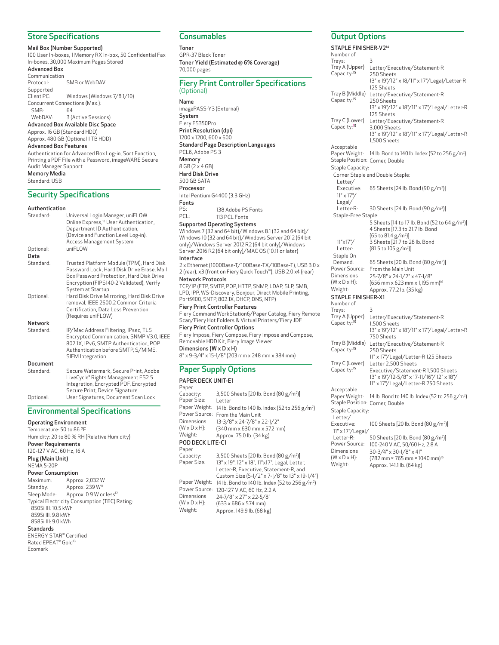## Store Specifications

Mail Box (Number Supported)

100 User In-boxes, 1 Memory RX In-box, 50 Confidential Fax In-boxes, 30,000 Maximum Pages Stored Advanced Box

#### Communication

Protocol: SMB or WebDAV Supported<br>Client PC: Windows (Windows 7/8.1/10) Concurrent Connections (Max.): SMB: 64 WebDAV: 3 (Active Sessions) Advanced Box Available Disc Space Approx. 16 GB (Standard HDD) Approx. 480 GB (Optional 1 TB HDD) Advanced Box Features Authentication for Advanced Box Log-in, Sort Function, Printing a PDF File with a Password, imageWARE Secure Audit Manager Support Memory Media Standard: USB

## Security Specifications

#### Authentication

| Standard:         | Universal Login Manager, uniFLOW<br>Online Express, <sup>10</sup> User Authentication,<br>Department ID Authentication,<br>(Device and Function Level Log-in),<br><b>Access Management System</b>   |
|-------------------|-----------------------------------------------------------------------------------------------------------------------------------------------------------------------------------------------------|
| Optional:<br>Data | uniFLOW                                                                                                                                                                                             |
| Standard:         | Trusted Platform Module (TPM), Hard Disk<br>Password Lock, Hard Disk Drive Erase, Mail<br>Box Password Protection, Hard Disk Drive<br>Encryption (FIPS140-2 Validated), Verify<br>System at Startup |
| Optional:         | Hard Disk Drive Mirroring, Hard Disk Drive<br>removal, IEEE 2600.2 Common Criteria<br>Certification, Data Loss Prevention<br>(Requires uniFLOW)                                                     |
| Network           |                                                                                                                                                                                                     |
| Standard:         | IP/Mac Address Filtering, IPsec, TLS<br>Encrypted Communication, SNMP V3.0, IEEE<br>802.1X, IPv6, SMTP Authentication, POP<br>Authentication before SMTP, S/MIME,<br>SIEM Integration               |
| Document          |                                                                                                                                                                                                     |
| Standard:         | Secure Watermark, Secure Print, Adobe<br>LiveCycle® Rights Management ES2.5<br>Integration, Encrypted PDF, Encrypted<br>Secure Print, Device Signature                                              |
| Optional:         | User Signatures, Document Scan Lock                                                                                                                                                                 |

## Environmental Specifications

Operating Environment Temperature: 50 to 86 ºF Humidity: 20 to 80 % RH (Relative Humidity) Power Requirements 120-127 V AC, 60 Hz, 16 A Plug (Main Unit) NEMA 5-20P Power Consumption Maximum: Approx. 2,032 W Standby: Approx. 239 W<sup>11</sup> Sleep Mode: Approx. 0.9 W or less<sup>12</sup> Typical Electricity Consumption (TEC) Rating: 8505i III: 10.5 kWh 8595i III: 9.8 kWh 8585i III: 9.0 kWh **Standards** ENERGY STAR Certified

Rated EPEAT® Gold<sup>13</sup> Ecomark

## **Consumables**

Toner GPR-37 Black Toner Toner Yield (Estimated @ 6% Coverage) 70,000 pages

#### Fiery Print Controller Specifications (Optional)

Name imagePASS-Y3 (External) System Fiery FS350Pro Print Resolution (dpi) 1200 x 1200, 600 x 600 Standard Page Description Languages PCL6, Adobe PS 3 Memory 8 GB (2 x 4 GB) Hard Disk Drive 500 GB SATA Processor Intel Pentium G4400 (3.3 GHz) Fonts<br>PS: PS: 138 Adobe PS Fonts<br>PCL: 113 PCL Fonts 113 PCL Fonts

## Supported Operating Systems

Windows 7 (32 and 64 bit)/Windows 8.1 (32 and 64 bit)/ Windows 10 (32 and 64 bit)/Windows Server 2012 (64 bit only)/Windows Server 2012 R2 (64 bit only)/Windows Server 2016 R2 (64 bit only)/MAC OS (10.11 or later) Interface

2 x Ethernet (1000Base-T/100Base-TX/10Base-T), USB 3.0 x 2 (rear), x3 (front on Fiery Quick Touch™), USB 2.0 x4 (rear) Network Protocols

TCP/IP (FTP, SMTP, POP, HTTP, SNMP, LDAP, SLP, SMB, LPD, IPP, WS-Discovery, Bonjour, Direct Mobile Printing, Port9100, SNTP, 802.1X, DHCP, DNS, NTP) Fiery Print Controller Features

Fiery Command WorkStation6/Paper Catalog, Fiery Remote Scan/Fiery Hot Folders & Virtual Printers/Fiery JDF Fiery Print Controller Options

Fiery Impose, Fiery Compose, Fiery Impose and Compose, Removable HDD Kit, Fiery Image Viewer Dimensions (W x D x H) 8" x 9-3/4" x 15-1/8" (203 mm x 248 mm x 384 mm)

## Paper Supply Options

## PAPER DECK UNIT-E1

| Paper                     |                                                            |
|---------------------------|------------------------------------------------------------|
| Capacity:                 | 3,500 Sheets [20 lb. Bond (80 g/m <sup>2</sup> )]          |
| Paper Size:               | Letter                                                     |
| Paper Weight:             | 14 lb. Bond to 140 lb. Index (52 to 256 g/m <sup>2</sup> ) |
| Power Source:             | From the Main Unit                                         |
| Dimensions                | 13-3/8" x 24-7/8" x 22-1/2"                                |
| $(W \times D \times H)$ : | (340 mm x 630 mm x 572 mm)                                 |
| Weight:                   | Approx. 75.0 lb. (34 kg)                                   |
| POD DECK LITE-C1          |                                                            |
| Paper                     |                                                            |
| Capacity:                 | 3,500 Sheets [20 lb. Bond (80 g/m <sup>2</sup> )]          |
| Paper Size:               | 13" x 19", 12" x 18", 11" x 17", Legal, Letter,            |
|                           | Letter-R, Executive, Statement-R, and                      |
|                           | Custom Size (5-1/2" x 7-1/8" to 13" x 19-1/4")             |
| Paper Weight:             | 14 lb. Bond to 140 lb. Index (52 to 256 g/m <sup>2</sup> ) |
| Power Source:             | 120-127 V AC, 60 Hz, 2.2 A                                 |
| Dimensions                | 24-7/8" x 27" x 22-5/8"                                    |
| $(W \times D \times H)$ : | $(633 \times 686 \times 574 \text{ mm})$                   |
| Weight:                   | Approx. 149.9 lb. (68 kg)                                  |

## Output Options

STAPLE FINISHER-V214 Number of Trays: 3 Tray A (Upper) Capacity:<sup>15</sup> Letter/Executive/Statement-R 250 Sheets 13" x 19"/12" x 18/11" x 17"/Legal/Letter-R 125 Sheets Tray B (Middle) Capacity:<sup>15</sup> Letter/Executive/Statement-R 250 Sheets 13" x 19"/12" x 18"/11" x 17"/Legal/Letter-R 125 Sheets Tray C (Lower) Capacity:<sup>15</sup> Letter/Executive/Statement-R 3,000 Sheets 13" x 19"/12" x 18"/11" x 17"/Legal/Letter-R 1,500 Sheets **Acceptable** Paper Weight: 14 lb. Bond to 140 lb. Index (52 to 256 g/m2 ) Staple Position: Corner, Double Staple Capacity: Corner Staple and Double Staple: Letter/ Executive: 65 Sheets [24 lb. Bond (90 g/m2 )] 11" x 17"/ Legal/<br>Letter-R: Letter-R: 30 Sheets [24 lb. Bond (90 g/m2 )] Staple-Free Staple: 11"x17"/ Letter: 5 Sheets [14 to 17 lb. Bond (52 to 64 g/m2 )] 4 Sheets [17.3 to 21.7 lb. Bond (65 to 81.4 g/m2 )] 3 Sheets [21.7 to 28 lb. Bond (81.5 to 105 g/m2 )] Staple On Demand: 65 Sheets [20 lb. Bond (80 g/m2 )] Power Source: From the Main Unit Dimensions  $(W \times D \times H)$ : 25-7/8" x 24-1/2" x 47-1/8" (656 mm x 623 mm x 1,195 mm)16 Weight: Approx. 77.2 lb. (35 kg) STAPLE FINISHER-X1 Number of Travs: Tray A (Upper) Capacity:<sup>15</sup> Letter/Executive/Statement-R 1,500 Sheets 13" x 19"/12" x 18"/11" x 17"/Legal/Letter-R 750 Sheets Tray B (Middle) Capacity:<sup>15</sup> Letter/Executive/Statement-R 250 Sheets 11" x 17"/Legal/Letter-R 125 Sheets Tray C (Lower) Capacity:<sup>15</sup> Letter 2,500 Sheets Executive/Statement-R 1,500 Sheets 13" x 19"/12-5/8" x 17-11/16"/ 12" x 18"/ 11" x 17"/Legal/Letter-R 750 Sheets Acceptable Paper Weight: 14 lb. Bond to 140 lb. Index (52 to 256 g/m2 ) Staple Position: Corner, Double Staple Capacity: Letter/<br>Executive: Executive: 100 Sheets [20 lb. Bond (80 g/m2 )] -<br>11" x 17"/Legal/<br>Letter-R: Letter-R: 50 Sheets [20 lb. Bond (80 g/m2 )] Power Source: 100-240 V AC, 50/60 Hz, 2.8 A Dimensions (W x D x H):<br>Weight: 30-3/4" x 30-1/8" x 41" (782 mm × 765 mm × 1040 mm)16 Approx. 141.1 lb. (64 kg)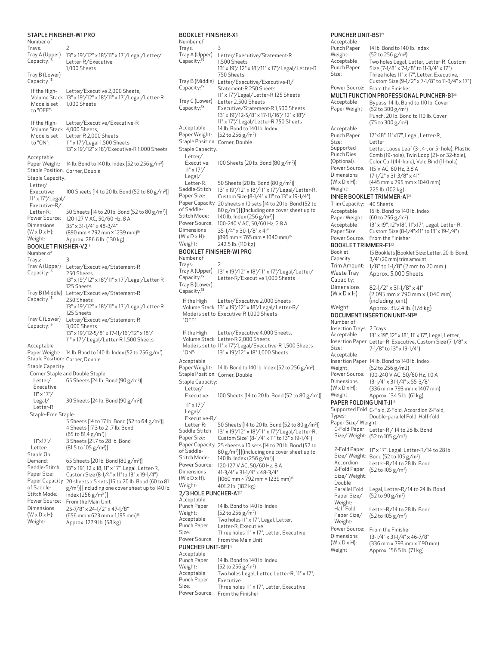## STAPLE FINISHER-W1 PRO

| Number of                                 |                                                                                               |
|-------------------------------------------|-----------------------------------------------------------------------------------------------|
| Trays:                                    | 2                                                                                             |
| Tray A (Upper)                            | 13" x 19"/12" x 18"/11" x 17"/Legal/Letter/                                                   |
| Capacity: <sup>15</sup>                   | Letter-R/Executive<br>1,000 Sheets                                                            |
| Tray B (Lower)<br>Capacity: <sup>15</sup> |                                                                                               |
| If the High-                              | Letter/Executive 2,000 Sheets,                                                                |
|                                           | Volume Stack 13" x 19"/12" x 18"/11" x 17"/Legal/Letter-R                                     |
| Mode is set                               | 1,000 Sheets                                                                                  |
| to "OFF":                                 |                                                                                               |
| If the High-                              | Letter/Executive/Executive-R                                                                  |
| Volume Stack 4,000 Sheets,                |                                                                                               |
| Mode is set                               | Letter-R 2,000 Sheets                                                                         |
| to "ON":                                  | 11" x 17"/Legal 1,500 Sheets                                                                  |
|                                           | 13" x 19"/12" x 18"/Executive-R 1,000 Sheets                                                  |
| Acceptable<br>Paper Weight:               | 14 lb. Bond to 140 lb. Index (52 to 256 g/m <sup>2</sup> )                                    |
| Staple Position: Corner, Double           |                                                                                               |
| Staple Capacity:                          |                                                                                               |
| Letter/                                   |                                                                                               |
| Executive:                                | 100 Sheets [14 to 20 lb. Bond (52 to 80 g/m <sup>2</sup> )]                                   |
| 11" x 17"/Legal/                          |                                                                                               |
| Executive-R/                              |                                                                                               |
| Letter-R:<br>Power Source:                | 50 Sheets [14 to 20 lb. Bond (52 to 80 g/m <sup>2</sup> )]                                    |
| <b>Dimensions</b>                         | 120-127 V AC, 50/60 Hz, 8 A<br>35" x 31-1/4" x 48-3/4"                                        |
| $(W \times D \times H)$ :                 | (890 mm × 792 mm × 1239 mm) <sup>16</sup>                                                     |
| Weight:                                   | Approx. 286.6 lb. (130 kg)                                                                    |
| BOOKLET FINISHER-V2 <sup>14</sup>         |                                                                                               |
| Number of                                 |                                                                                               |
| Irays:                                    | З                                                                                             |
| Tray A (Upper)<br>Capacity: <sup>15</sup> | Letter/Executive/Statement-R<br>250 Sheets                                                    |
|                                           | 13" x 19"/12" x 18"/11" x 17"/Legal/Letter-R                                                  |
|                                           | 125 Sheets                                                                                    |
| Tray B (Middle)                           | Letter/Executive/Statement-R                                                                  |
| Capacity: <sup>15</sup>                   | 250 Sheets                                                                                    |
|                                           | 13" x 19"/12" x 18"/11" x 17"/Legal/Letter-R<br>125 Sheets                                    |
| Tray C (Lower)                            | Letter/Executive/Statement-R                                                                  |
| Capacity: <sup>15</sup>                   | 3,000 Sheets                                                                                  |
|                                           | 13" x 19"/12-5/8" x 17-11/16"/12" x 18"/                                                      |
|                                           | 11" x 17"/Legal/Letter-R 1,500 Sheets                                                         |
| Acceptable<br>Paper Weight:               | 14 lb. Bond to 140 lb. Index (52 to 256 g/m <sup>2</sup> )                                    |
| Staple Position: Corner, Double           |                                                                                               |
| Staple Capacity:                          |                                                                                               |
|                                           | Corner Staple and Double Staple:                                                              |
| Letter/                                   | 65 Sheets [24 lb. Bond (90 g/m <sup>2</sup> )]                                                |
| Executive:                                |                                                                                               |
| $11" \times 17" /$                        |                                                                                               |
| Legal/<br>Letter-R:                       | 30 Sheets [24 lb. Bond (90 g/m <sup>2</sup> )]                                                |
| Staple-Free Staple:                       |                                                                                               |
|                                           | 5 Sheets [14 to 17 lb. Bond (52 to 64 g/m <sup>2</sup> )]                                     |
|                                           | 4 Sheets [17.3 to 21.7 lb. Bond                                                               |
|                                           | $(65 \text{ to } 81.4 \text{ g/m}^2)]$                                                        |
| 11"x17"                                   | 3 Sheets [21.7 to 28 lb. Bond                                                                 |
| Letter:<br>Staple On                      | $(81.5 \text{ to } 105 \text{ g}/\text{m}^2)]$                                                |
| Demand:                                   | 65 Sheets [20 lb. Bond (80 g/m²)]                                                             |
| Saddle-Stitch                             | 13" x 19", 12 x 18, 11" x 17", Legal, Letter-R,                                               |
| Paper Size:                               | Custom Size (8-1/4" x 11" to 13" x 19-1/4")                                                   |
| Paper Capacity                            | 20 sheets x 5 sets [16 to 20 lb. Bond (60 to 81                                               |
| of Saddle-<br>Stitch Mode:                | g/m <sup>2</sup> )] [including one cover sheet up to 140 lb.<br>Index (256 g/m <sup>2</sup> ) |
| Power Source:                             | From the Main Unit                                                                            |
| Dimensions                                | 25-7/8" x 24-1/2" x 47-1/8"                                                                   |
| $(W \times D \times H)$ :                 | (656 mm x 623 mm x 1,195 mm) <sup>16</sup>                                                    |
| Weight:                                   | Approx. 127.9 lb. (58 kg)                                                                     |

## BOOKLET FINISHER-X1

Number of Trays: 3 Tray A (Upper) Capacity:<sup>15</sup> Letter/Executive/Statement-R 1,500 Sheets 13" x 19"/ 12" x 18"/11" x 17"/Legal/Letter-R 750 Sheets Tray B (Middle) Letter/Executive/Executive-R/ Capacity:<sup>15</sup> Statement-R 250 Sheets 11" x 17"/Legal/Letter-R 125 Sheets Tray C (Lower) Capacity:<sup>15</sup> Letter 2,500 Sheets Executive/Statement-R 1,500 Sheets 13" x 19"/12-5/8" x 17-11/16"/ 12" x 18"/ 11" x 17"/ Legal/Letter-R 750 Sheets Acceptable Paper Weight: 14 lb. Bond to 140 lb. Index (52 to 256 g/m2 ) Staple Position: Corner, Double Staple Capacity: Letter/<br>Executive: Executive: 100 Sheets [20 lb. Bond (80 g/m<sup>2</sup>)] 11" x 17"/ Legal/<br>Letter-R: Letter-R: 50 Sheets [20 lb. Bond (80 g/m2 )] Saddle-Stitch Paper Size: 13" x 19"/12" x 18"/11" x 17"/Legal/Letter-R, Custom Size (8-1/4" x 11" to 13" x 19-1/4") Paper Capacity of Saddle-Stitch Mode: 20 sheets x 10 sets [14 to 20 lb. Bond (52 to 80 g/m2 )] [(Including one cover sheet up to 140 lb. Index (256 g/m2 )] Power Source: 100-240 V AC, 50/60 Hz, 2.8 A Dimensions (W x D x H):<br>Weight: 35-1/4" x 30-1/8" x 41" (896 mm × 765 mm × 1040 mm)16 242.5 lb. (110 kg) BOOKLET FINISHER-W1 PRO Number of Trays: Tray A (Upper) 13" x 19"/12" x 18"/11" x 17"/Legal/Letter/ Capacity:<sup>15</sup> Letter-R/Executive 1,000 Sheets Tray B (Lower) Capacity:<sup>15</sup> If the High Volume Stack 13" x 19"/12" x 18"/Legal/Letter-R/ Mode is set to Executive-R 1,000 Sheets "OFF": Letter/Executive 2,000 Sheets If the High Volume Stack Letter-R 2,000 Sheets Mode is set to 11" x 17"/Legal/Executive-R 1,500 Sheets "ON": Letter/Executive 4,000 Sheets, 13" x 19"/12" x 18" 1,000 Sheets Acceptable Paper Weight: 14 lb. Bond to 140 lb. Index (52 to 256 g/m2 ) Staple Position: Corner, Double Staple Capacity: Letter/ Executive: 100 Sheets [14 to 20 lb. Bond (52 to 80 g/m2 )] 11" x 17"/ Legal/ Executive-R/ Letter-R: 50 Sheets [14 to 20 lb. Bond (52 to 80 g/m2 )] Saddle-Stitch Paper Size: 13" x 19"/12" x 18"/11" x 17"/Legal/Letter-R, Custom Size" (8-1/4" x 11" to 13" x 19-1/4") Paper Capacity 25 sheets x 10 sets [14 to 20 lb. Bond (52 to of Saddle-Stitch Mode: 80 g/m2 )] [(including one cover sheet up to 140 lb. Index (256 g/m2 )] 120-127 V AC, 50/60 Hz, 8 A **Dimensions**  $(W \times D \times H)$ 41-3/4" x 31-1/4" x 48-3/4"  $(1060 \text{ mm} \times 792 \text{ mm} \times 1239 \text{ mm})^{16}$ Weight: 401.2 lb. (182 kg) 2/3 HOLE PUNCHER-A1<sup>17</sup> Acceptable Punch Paper Weight: 14 lb. Bond to 140 lb. Index (52 to 256 g/m2 ) Acceptable Punch Paper Size: .<br>Two holes 11" x 17", Legal, Letter, Letter-R, Executive Three holes 11" x 17", Letter, Executive Power Source: From the Main Unit PUNCHER UNIT-BF118 Acceptable Punch Paper Weight: 14 lb. Bond to 140 lb. Index (52 to 256 g/m2 ) Acceptable Punch Paper Size: Two holes Legal, Letter, Letter-R, 11" x 17", Executive Three holes 11" x 17", Letter, Executive

Power Source: From the Finisher

#### PUNCHER UNIT-BS1<sup>19</sup> Acceptable Punch Paper Weight: 14 lb. Bond to 140 lb. Index (52 to 256 g/m2 ) Acceptable Punch Paper Size: Two holes Legal, Letter, Letter-R, Custom Size (7-1/8" x 7-1/8" to 11-3/4" x 17") Three holes 11" x 17", Letter, Executive, Custom Size (9-1/2" x 7-1/8" to 11-3/4" x 17") Power Source: From the Finisher MULTI FUNCTION PROFESSIONAL PUNCHER-B1<sup>20</sup> Acceptable Paper Weight: Bypass: 14 lb. Bond to 110 lb. Cover (52 to 300 g/m2 ) Punch: 20 lb. Bond to 110 lb. Cover (75 to 300 g/m2 ) Acceptable Punch Paper Size: 12"x18", 11"x17", Legal, Letter-R, Letter Supported Punch Dies (Optional): Letter, Loose Leaf (3-, 4-, or 5- hole), Plastic Comb (19-hole), Twin Loop (21- or 32-hole), Color Coil (44-hole), Velo Bind (11-hole) Power Source: 115 V AC, 60 Hz, 3.8 A Dimensions  $(W \times D \times H)$ : 17-1/2" x 31-3/8" x 41" (445 mm x 795 mm x 1040 mm) Weight: 225 lb. (102 kg) INNER BOOKLET TRIMMER-A1<sup>21</sup> Trim Capacity: 40 Sheets Acceptable Paper Weight: 16 lb. Bond to 140 lb. Index (60 to 256 g/m2 ) Acceptable Paper Size: 13" x 19", 12"x18", 11"x17", Legal, Letter-R, Custom Size (8-1/4"x11" to 13"x 19-1/4") Power Source: From the Finisher BOOKLET TRIMMER-F1<sup>22</sup> Booklet Capacity: 15 Booklets [Booklet Size: Letter, 20 lb. Bond, 3/4" (20 mm) trim amount] Trim Amount: 1/8" to 1-1/8" (2 mm to 20 mm ) Waste Tray Capacity: Approx. 5,000 Sheets Dimensions  $(W \times D \times H)$ : 82-1/2" x 31-1/8" x 41" (2,095 mm x 790 mm x 1,040 mm) (including joint) Weight: Approx. 392.4 lb. (178 kg) DOCUMENT INSERTION UNIT-N120 Number of Insertion Trays 2 Trays Acceptable Insertion Paper Letter-R, Executive, Custom Size (7-1/8" x Size: 13" x 19", 12" x 18", 11' x 17", Legal, Letter, 7-1/8" to 13" x 19-1/4") Acceptable Insertion Paper Weight:<br>Power Source: 14 lb. Bond to 140 lb. Index (52 to 256 g/m2) 100-240 V AC, 50/60 Hz, 1.0 A Dimensions  $(W \times D \times H)$ : 13-1/4" x 31-1/4" x 55-3/8" (336 mm x 793 mm x 1407 mm) Weight Approx. 134.5 lb. (61 kg) PAPER FOLDING UNIT-J118 Supported Fold C-Fold, Z-Fold, Accordion Z-Fold, Types: Double-parallel Fold, Half-fold Paper Size/ Weight: C-Fold Paper Letter-R / 14 to 28 lb. Bond Size/ Weight: (52 to 105 g/m2 ) Z-Fold Paper 11" x 17", Legal, Letter-R/14 to 28 lb.

Size/ Weight: Bond (52 to 105 g/m2 )

Weight Approx. 156.5 lb. (71 kg)

(52 to 90 g/m2 )

Letter-R/14 to 28 lb. Bond (52 to 105 g/m2 )

Letter-R/14 to 28 lb. Bond (52 to 105 g/m2 ) From the Finisher

13-1/4" x 31-1/4" x 46-7/8" (336 mm x 793 mm x 1190 mm)

Legal, Letter-R/14 to 24 lb. Bond

Accordion Z-Fold Paper Size/ Weight:

Double Parallel Fold Paper Size/ Weight:

Half Fold Paper Size/ Weight:<br>Power Source:

Dimensions  $(W \times D \times H)$ :